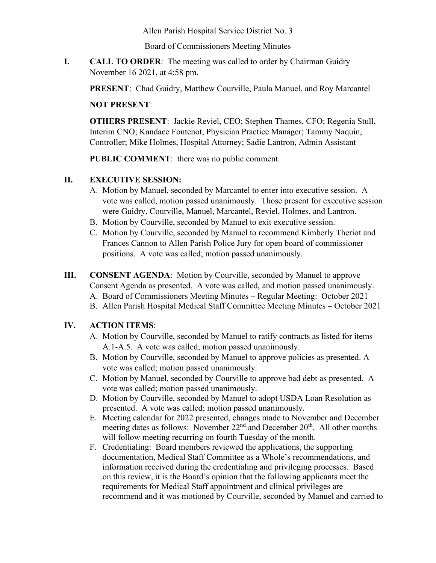Allen Parish Hospital Service District No. 3

Board of Commissioners Meeting Minutes

**I. CALL TO ORDER**: The meeting was called to order by Chairman Guidry November 16 2021, at 4:58 pm.

**PRESENT**: Chad Guidry, Matthew Courville, Paula Manuel, and Roy Marcantel

### **NOT PRESENT**:

**OTHERS PRESENT**: Jackie Reviel, CEO; Stephen Thames, CFO; Regenia Stull, Interim CNO; Kandace Fontenot, Physician Practice Manager; Tammy Naquin, Controller; Mike Holmes, Hospital Attorney; Sadie Lantron, Admin Assistant

**PUBLIC COMMENT**: there was no public comment.

### **II. EXECUTIVE SESSION:**

- A. Motion by Manuel, seconded by Marcantel to enter into executive session. A vote was called, motion passed unanimously. Those present for executive session were Guidry, Courville, Manuel, Marcantel, Reviel, Holmes, and Lantron.
- B. Motion by Courville, seconded by Manuel to exit executive session.
- C. Motion by Courville, seconded by Manuel to recommend Kimberly Theriot and Frances Cannon to Allen Parish Police Jury for open board of commissioner positions. A vote was called; motion passed unanimously.
- **III. CONSENT AGENDA**: Motion by Courville, seconded by Manuel to approve Consent Agenda as presented. A vote was called, and motion passed unanimously.
	- A. Board of Commissioners Meeting Minutes Regular Meeting: October 2021
	- B. Allen Parish Hospital Medical Staff Committee Meeting Minutes October 2021

### **IV. ACTION ITEMS**:

- A. Motion by Courville, seconded by Manuel to ratify contracts as listed for items A.1-A.5. A vote was called; motion passed unanimously.
- B. Motion by Courville, seconded by Manuel to approve policies as presented. A vote was called; motion passed unanimously.
- C. Motion by Manuel, seconded by Courville to approve bad debt as presented. A vote was called; motion passed unanimously.
- D. Motion by Courville, seconded by Manuel to adopt USDA Loan Resolution as presented. A vote was called; motion passed unanimously.
- E. Meeting calendar for 2022 presented, changes made to November and December meeting dates as follows: November 22<sup>nd</sup> and December 20<sup>th</sup>. All other months will follow meeting recurring on fourth Tuesday of the month.
- F. Credentialing: Board members reviewed the applications, the supporting documentation, Medical Staff Committee as a Whole's recommendations, and information received during the credentialing and privileging processes. Based on this review, it is the Board's opinion that the following applicants meet the requirements for Medical Staff appointment and clinical privileges are recommend and it was motioned by Courville, seconded by Manuel and carried to